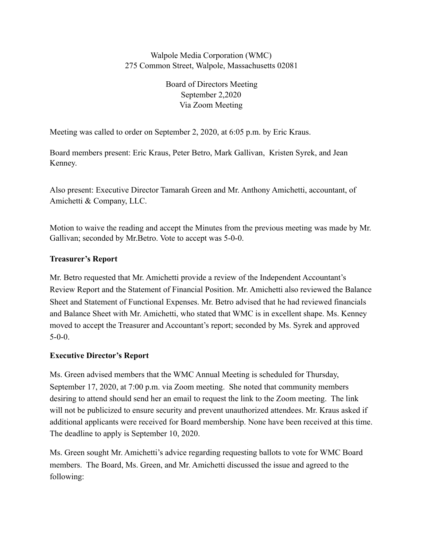## Walpole Media Corporation (WMC) 275 Common Street, Walpole, Massachusetts 02081

Board of Directors Meeting September 2,2020 Via Zoom Meeting

Meeting was called to order on September 2, 2020, at 6:05 p.m. by Eric Kraus.

Board members present: Eric Kraus, Peter Betro, Mark Gallivan, Kristen Syrek, and Jean Kenney.

Also present: Executive Director Tamarah Green and Mr. Anthony Amichetti, accountant, of Amichetti & Company, LLC.

Motion to waive the reading and accept the Minutes from the previous meeting was made by Mr. Gallivan; seconded by Mr.Betro. Vote to accept was 5-0-0.

### **Treasurer's Report**

Mr. Betro requested that Mr. Amichetti provide a review of the Independent Accountant's Review Report and the Statement of Financial Position. Mr. Amichetti also reviewed the Balance Sheet and Statement of Functional Expenses. Mr. Betro advised that he had reviewed financials and Balance Sheet with Mr. Amichetti, who stated that WMC is in excellent shape. Ms. Kenney moved to accept the Treasurer and Accountant's report; seconded by Ms. Syrek and approved 5-0-0.

### **Executive Director's Report**

Ms. Green advised members that the WMC Annual Meeting is scheduled for Thursday, September 17, 2020, at 7:00 p.m. via Zoom meeting. She noted that community members desiring to attend should send her an email to request the link to the Zoom meeting. The link will not be publicized to ensure security and prevent unauthorized attendees. Mr. Kraus asked if additional applicants were received for Board membership. None have been received at this time. The deadline to apply is September 10, 2020.

Ms. Green sought Mr. Amichetti's advice regarding requesting ballots to vote for WMC Board members. The Board, Ms. Green, and Mr. Amichetti discussed the issue and agreed to the following: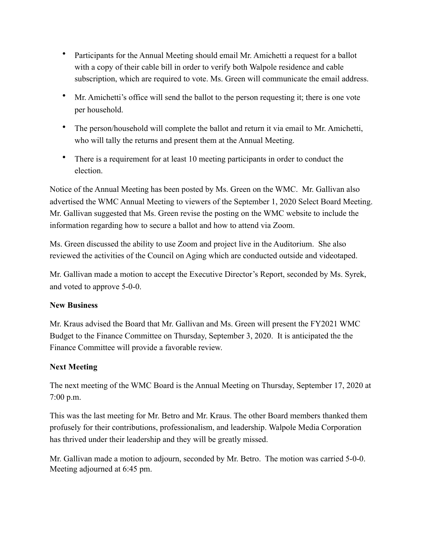- Participants for the Annual Meeting should email Mr. Amichetti a request for a ballot with a copy of their cable bill in order to verify both Walpole residence and cable subscription, which are required to vote. Ms. Green will communicate the email address.
- Mr. Amichetti's office will send the ballot to the person requesting it; there is one vote per household.
- The person/household will complete the ballot and return it via email to Mr. Amichetti, who will tally the returns and present them at the Annual Meeting.
- There is a requirement for at least 10 meeting participants in order to conduct the election.

Notice of the Annual Meeting has been posted by Ms. Green on the WMC. Mr. Gallivan also advertised the WMC Annual Meeting to viewers of the September 1, 2020 Select Board Meeting. Mr. Gallivan suggested that Ms. Green revise the posting on the WMC website to include the information regarding how to secure a ballot and how to attend via Zoom.

Ms. Green discussed the ability to use Zoom and project live in the Auditorium. She also reviewed the activities of the Council on Aging which are conducted outside and videotaped.

Mr. Gallivan made a motion to accept the Executive Director's Report, seconded by Ms. Syrek, and voted to approve 5-0-0.

### **New Business**

Mr. Kraus advised the Board that Mr. Gallivan and Ms. Green will present the FY2021 WMC Budget to the Finance Committee on Thursday, September 3, 2020. It is anticipated the the Finance Committee will provide a favorable review.

# **Next Meeting**

The next meeting of the WMC Board is the Annual Meeting on Thursday, September 17, 2020 at 7:00 p.m.

This was the last meeting for Mr. Betro and Mr. Kraus. The other Board members thanked them profusely for their contributions, professionalism, and leadership. Walpole Media Corporation has thrived under their leadership and they will be greatly missed.

Mr. Gallivan made a motion to adjourn, seconded by Mr. Betro. The motion was carried 5-0-0. Meeting adjourned at 6:45 pm.